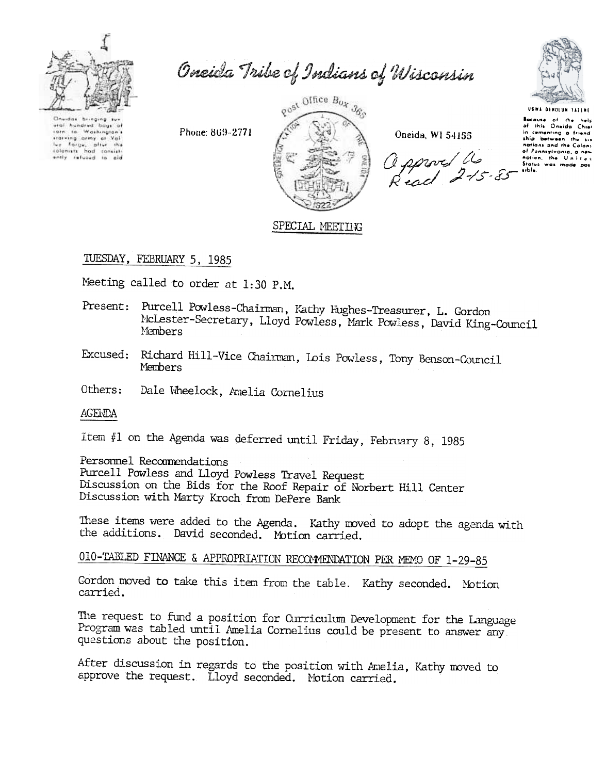

Oneida Tribe of Indians of Wisconsin

Chuidas bringing ural hundred bags of<br>1976 to Washington's taining ormy at Val<br>Ivy Farge, plier the<br>colonists had consist-<br>ently refused to ald

Phone: 869-2771



Oneida, WI 54155

apport a



USWA GEROLUM SATEMI Because of the help<br>of this Onvida Chie in comenting a friend of Pannsylvania, a new<br>nation, the Unityc sible.

## SPECIAL MEETING

# TUESDAY, FEBRUARY 5, 1985

Meeting called to order at 1:30 P.M.

- Present: Purcell Powless-Chairman, Kathy Hughes-Treasurer, L. Gordon McLester-Secretary, Lloyd Powless, Mark Powless, David King-Council Members
- Excused: Richard Hill-Vice Chairman, Lois Powless, Tony Benson-Council **Members**
- Others: Dale Wheelock, Amelia Cornelius

AGENDA

Item #1 on the Agenda was deferred until Friday, February 8, 1985

Personnel Recommendations

Purcell Powless and Lloyd Powless Travel Request Discussion on the Bids for the Roof Repair of Norbert Hill Center Discussion with Marty Kroch from DePere Bank

These items were added to the Agenda. Kathy moved to adopt the agenda with the additions. David seconded. Motion carried.

010-TABLED FINANCE & APPROPRIATION RECOMMENDATION PER MEMO OF 1-29-85

Cordon moved to take this item from the table. Kathy seconded. Motion carried.

The request to fund a position for Curriculum Development for the Language Program was tabled until Amelia Cornelius could be present to answer any questions about the position.

After discussion in regards to the position with Amelia, Kathy moved to approve the request. Lloyd seconded. Motion carried.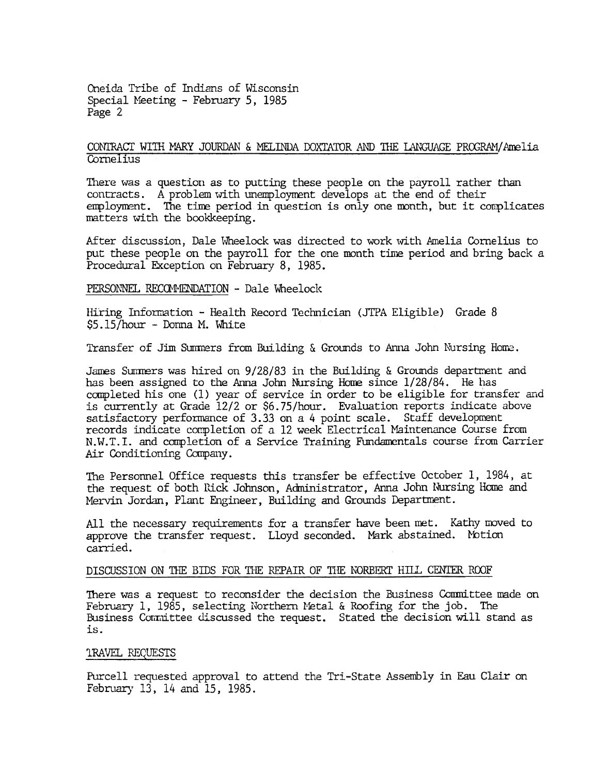Oneida Tribe of Indians of Wisconsin Special Meeting - February 5, 1985 Page 2

### CONTRACT WITH MARY JOURDAN & MELINDA DOXTATOR AND THE LANGUAGE PROGRAM/Amelia Cornelius

There was a question as to putting these people on the payroll rather than contracts. A problem with unemployment develops at the end of their employment. The time period in question is only one month, but it complicates matters with the bookkeeping.

After discussion, Dale Wheelock was directed to work with Amelia Cornelius to put these people on the payroll for the one month time period and bring back a Procedural Exception on February 8, 1985.

#### PERSONNEL RECOMMENDATION - Dale Wheelock

Hiring Information - Health Record Technician (JTPA Eligible) Grade 8 \$5.15/hour - Donna M. White

Transfer of Jim Summers from Building & Grounds to Anna John Nursing Home.

James Summers was hired on 9/28/83 in the Building & Grounds department and has been assigned to the Anna John Nursing Home since 1/28/84. He has completed his one (1) year of service in order to be eligible for transfer and is currently at Grade 12/2 or \$6.75/hour. Evaluation reports indicate above satisfactory performance of 3.33 on a 4 point scale. Staff development records indicate completion of a 12 week Electrical Maintenance Course from N.W.T.I. and completion of a Service Training Fundamentals course from Carrier Air Conditioning Company.

The Personnel Office requests this transfer be effective October 1, 1984, at the request of both Rick Johnson, Administrator, Anna John Nursing Home and Mervin Jordan, Plant Engineer, Building and Grounds Department.

All the necessary requirements for a transfer have been met. Kathy moved to approve the transfer request. Lloyd seconded. Mark abstained. Motion carried.

#### DISCUSSION ON THE BIDS FOR THE REPAIR OF THE NORBERT HILL CENTER ROOF

There was a request to reconsider the decision the Business Committee made on February 1, 1985, selecting Northern Metal & Roofing for the job. The Business Committee discussed the request. Stated the decision will stand as is.

#### **IRAVEL REQUESTS**

Purcell requested approval to attend the Tri-State Assembly in Eau Clair on February 13, 14 and 15, 1985.